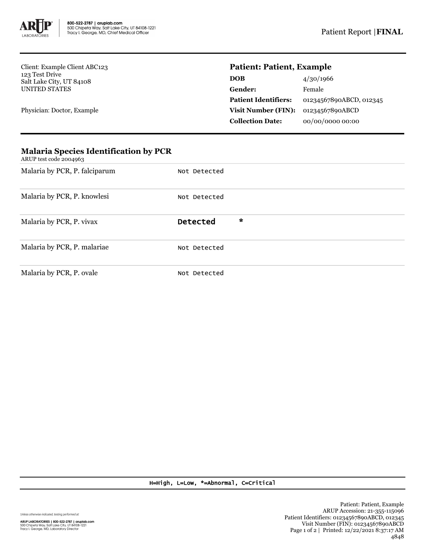

Client: Example Client ABC123 123 Test Drive Salt Lake City, UT 84108 UNITED STATES

Physician: Doctor, Example

## **Patient: Patient, Example**

| DOB                         | 4/30/1966               |  |  |
|-----------------------------|-------------------------|--|--|
| Gender:                     | Female                  |  |  |
| <b>Patient Identifiers:</b> | 01234567890ABCD, 012345 |  |  |
| <b>Visit Number (FIN):</b>  | 01234567890ABCD         |  |  |
| <b>Collection Date:</b>     | 00/00/0000 00:00        |  |  |

| ARUP test code 2004963        |                                 |
|-------------------------------|---------------------------------|
| Malaria by PCR, P. falciparum | Not Detected                    |
| Malaria by PCR, P. knowlesi   | Not Detected                    |
| Malaria by PCR, P. vivax      | $\mathbf{x}$<br><b>Detected</b> |
| Malaria by PCR, P. malariae   | Not Detected                    |
| Malaria by PCR, P. ovale      | Not Detected                    |

## **Malaria Species Identification by PCR**

H=High, L=Low, \*=Abnormal, C=Critical

Unless otherwise indicated, testing performed at: